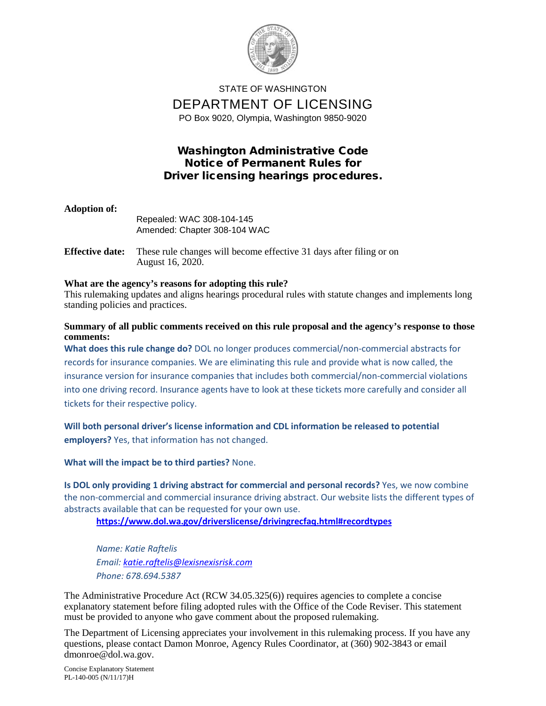

## STATE OF WASHINGTON DEPARTMENT OF LICENSING PO Box 9020, Olympia, Washington 9850-9020

## Washington Administrative Code Notice of Permanent Rules for Driver licensing hearings procedures.

| <b>Adoption of:</b>    | Repealed: WAC 308-104-145<br>Amended: Chapter 308-104 WAC           |
|------------------------|---------------------------------------------------------------------|
| <b>Effective date:</b> | These rule changes will become effective 31 days after filing or on |

# August 16, 2020.

### **What are the agency's reasons for adopting this rule?**

This rulemaking updates and aligns hearings procedural rules with statute changes and implements long standing policies and practices.

### **Summary of all public comments received on this rule proposal and the agency's response to those comments:**

**What does this rule change do?** DOL no longer produces commercial/non-commercial abstracts for records for insurance companies. We are eliminating this rule and provide what is now called, the insurance version for insurance companies that includes both commercial/non-commercial violations into one driving record. Insurance agents have to look at these tickets more carefully and consider all tickets for their respective policy.

## **Will both personal driver's license information and CDL information be released to potential employers?** Yes, that information has not changed.

### **What will the impact be to third parties?** None.

**Is DOL only providing 1 driving abstract for commercial and personal records?** Yes, we now combine the non-commercial and commercial insurance driving abstract. Our website lists the different types of abstracts available that can be requested for your own use.

**<https://www.dol.wa.gov/driverslicense/drivingrecfaq.html#recordtypes>**

*Name: Katie Raftelis Email: [katie.raftelis@lexisnexisrisk.com](mailto:katie.raftelis@lexisnexisrisk.com) Phone: 678.694.5387*

The Administrative Procedure Act (RCW 34.05.325(6)) requires agencies to complete a concise explanatory statement before filing adopted rules with the Office of the Code Reviser. This statement must be provided to anyone who gave comment about the proposed rulemaking.

The Department of Licensing appreciates your involvement in this rulemaking process. If you have any questions, please contact Damon Monroe, Agency Rules Coordinator, at (360) 902-3843 or email dmonroe@dol.wa.gov.